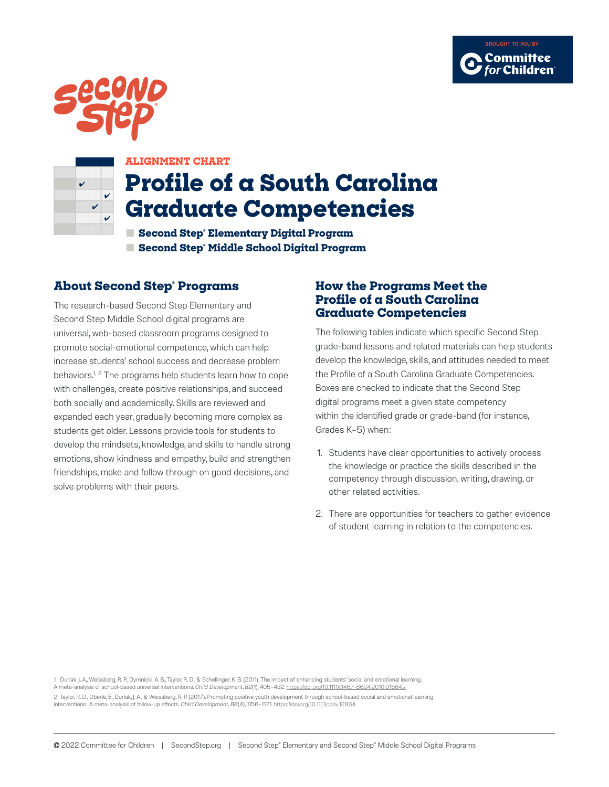





#### **ALIGNMENT CHART**

# **Profile of a South Carolina Graduate Competencies**

**■ Second Step® Elementary Digital Program ■ Second Step® Middle School Digital Program**

### **About Second Step® Programs**

The research-based Second Step Elementary and Second Step Middle School digital programs are universal, web-based classroom programs designed to promote social-emotional competence, which can help increase students' school success and decrease problem behaviors.<sup>1, 2</sup> The programs help students learn how to cope with challenges, create positive relationships, and succeed both socially and academically. Skills are reviewed and expanded each year, gradually becoming more complex as students get older. Lessons provide tools for students to develop the mindsets, knowledge, and skills to handle strong emotions, show kindness and empathy, build and strengthen friendships, make and follow through on good decisions, and solve problems with their peers.

#### **How the Programs Meet the Profile of a South Carolina Graduate Competencies**

The following tables indicate which specific Second Step grade-band lessons and related materials can help students develop the knowledge, skills, and attitudes needed to meet the Profile of a South Carolina Graduate Competencies. Boxes are checked to indicate that the Second Step digital programs meet a given state competency within the identified grade or grade-band (for instance, Grades K–5) when:

- 1. Students have clear opportunities to actively process the knowledge or practice the skills described in the competency through discussion, writing, drawing, or other related activities.
- 2. There are opportunities for teachers to gather evidence of student learning in relation to the competencies.

1 Durlak, J. A., Weissberg, R. P., Dymnicki, A. B., Taylor, R. D., & Schellinger, K. B. (2011). The impact of enhancing students' social and emotional learning:

A meta-analysis of school-based universal interventions. *Child Development*, *82*(1), 405–432. https://doi.org/10.1111/j.1467-8624.2010.01564.x

2 Taylor, R. D., Oberle, E., Durlak, J. A., & Weissberg, R. P. (2017). Promoting positive youth development through school-based social and emotional learning interventions: A meta-analysis of follow-up effects. *Child Development*, *88*(4), 1156–1171. https://doi.org/10.1111/cdev.12864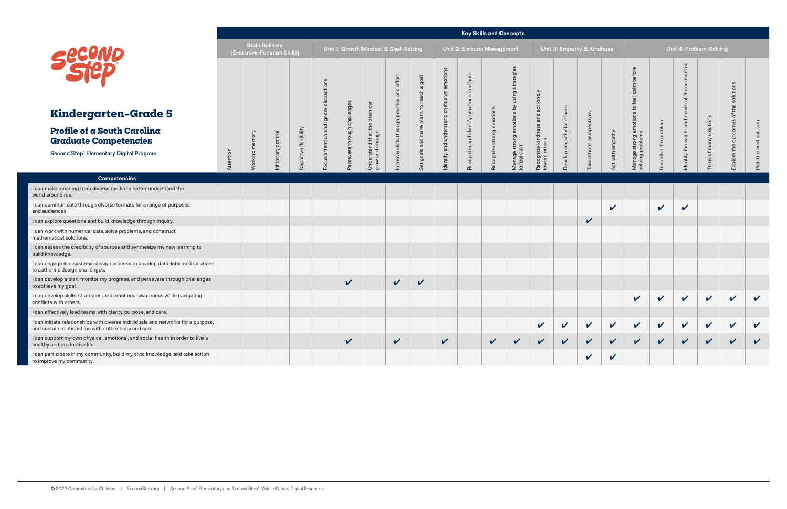|                                                                                                                                            |                                                      |             |           |                                       |                     |                      |                                              |                               |                       |                                       | <b>Key Skills and Concepts</b> |              |                                        |                |                            |                      |                            |                                 |                |                     |                              |                             |                        |
|--------------------------------------------------------------------------------------------------------------------------------------------|------------------------------------------------------|-------------|-----------|---------------------------------------|---------------------|----------------------|----------------------------------------------|-------------------------------|-----------------------|---------------------------------------|--------------------------------|--------------|----------------------------------------|----------------|----------------------------|----------------------|----------------------------|---------------------------------|----------------|---------------------|------------------------------|-----------------------------|------------------------|
| Securio                                                                                                                                    | <b>Brain Builders</b><br>(Executive-Function Skills) |             |           | Unit 1: Growth Mindset & Goal-Setting |                     |                      |                                              | Unit 2: Emotion Management    |                       |                                       | Unit 3: Empathy & Kindness     |              |                                        |                | Unit 4: Problem-Solving    |                      |                            |                                 |                |                     |                              |                             |                        |
|                                                                                                                                            |                                                      |             |           |                                       | ctions<br>stra<br>눈 |                      | $\subset$                                    | and effort                    | a goal<br>등<br>to rea | ဖ<br>motion<br>Ф<br>own               | others<br>⊒.<br>ons            |              | strategies<br>sing                     | kindly         |                            |                      |                            | before<br>calm<br>feel          |                | olved<br>$\omega$   |                              | solutions<br>$\mathbf \Phi$ |                        |
| Kindergarten-Grade 5                                                                                                                       |                                                      |             |           |                                       | digne               |                      | <b>c</b> a<br>brain                          | practice                      | plans                 | one's<br>stand                        | emoti                          | emotion      | $\gtrsim$                              | act<br>ă       |                            |                      |                            | $\overline{c}$                  |                | 7                   |                              | 운<br>'ŏ                     |                        |
| Profile of a South Carolina<br><b>Graduate Competencies</b>                                                                                |                                                      | king memory | control   | ognitive flexibility                  | attention           | e through challenges | $\circ$<br>も<br>erstand that t<br>and change | through  <br>$\omega$<br>skil | make<br>and           | under:                                | identify                       | strong       | Manage strong emotions<br>to feel calm | $\omega$       | Develop empathy for others | others' perspectives | with empathy               | e strong emotions t<br>problems | problem<br>the | $\overline{\sigma}$ | solutions<br>many            | outcomes                    | Pick the best solution |
| <b>Second Step® Elementary Digital Program</b>                                                                                             | Attention                                            |             | nhibitory |                                       | Focus               | Persever             | Under<br>Moub                                | mprove                        | goals<br>ď            | and<br>lentify<br>$\overline{\sigma}$ | cognize and<br>$\omega$        | ognize<br>هم |                                        | Recognize kino |                            | Take                 | ಕ                          | Manage s<br>solving pr          | cribe          | the<br>Identify     | $\overline{\sigma}$<br>Think | Explore the                 |                        |
| <b>Competencies</b>                                                                                                                        |                                                      |             |           |                                       |                     |                      |                                              |                               |                       |                                       |                                |              |                                        |                |                            |                      |                            |                                 |                |                     |                              |                             |                        |
| I can make meaning from diverse media to better understand the<br>world around me.                                                         |                                                      |             |           |                                       |                     |                      |                                              |                               |                       |                                       |                                |              |                                        |                |                            |                      |                            |                                 |                |                     |                              |                             |                        |
| I can communicate through diverse formats for a range of purposes<br>and audiences.                                                        |                                                      |             |           |                                       |                     |                      |                                              |                               |                       |                                       |                                |              |                                        |                |                            |                      | $\boldsymbol{\mathcal{U}}$ |                                 | $\checkmark$   | $\checkmark$        |                              |                             |                        |
| I can explore questions and build knowledge through inquiry.                                                                               |                                                      |             |           |                                       |                     |                      |                                              |                               |                       |                                       |                                |              |                                        |                |                            | $\checkmark$         |                            |                                 |                |                     |                              |                             |                        |
| I can work with numerical data, solve problems, and construct<br>mathematical solutions.                                                   |                                                      |             |           |                                       |                     |                      |                                              |                               |                       |                                       |                                |              |                                        |                |                            |                      |                            |                                 |                |                     |                              |                             |                        |
| I can assess the credibility of sources and synthesize my new learning to<br>build knowledge.                                              |                                                      |             |           |                                       |                     |                      |                                              |                               |                       |                                       |                                |              |                                        |                |                            |                      |                            |                                 |                |                     |                              |                             |                        |
| I can engage in a systemic design process to develop data-informed solutions<br>to authentic design challenges.                            |                                                      |             |           |                                       |                     |                      |                                              |                               |                       |                                       |                                |              |                                        |                |                            |                      |                            |                                 |                |                     |                              |                             |                        |
| I can develop a plan, monitor my progress, and persevere through challenges<br>to achieve my goal.                                         |                                                      |             |           |                                       |                     | $\checkmark$         |                                              | $\mathbf{v}$                  | $\checkmark$          |                                       |                                |              |                                        |                |                            |                      |                            |                                 |                |                     |                              |                             |                        |
| I can develop skills, strategies, and emotional awareness while navigating<br>conflicts with others.                                       |                                                      |             |           |                                       |                     |                      |                                              |                               |                       |                                       |                                |              |                                        |                |                            |                      |                            | $\checkmark$                    | $\checkmark$   | $\checkmark$        | $\mathbf v$                  | $\checkmark$                | $\checkmark$           |
| I can effectively lead teams with clarity, purpose, and care.                                                                              |                                                      |             |           |                                       |                     |                      |                                              |                               |                       |                                       |                                |              |                                        |                |                            |                      |                            |                                 |                |                     |                              |                             |                        |
| I can initiate relationships with diverse individuals and networks for a purpose,<br>and sustain relationships with authenticity and care. |                                                      |             |           |                                       |                     |                      |                                              |                               |                       |                                       |                                |              |                                        | V              |                            | $\checkmark$         | $\checkmark$               | $\mathbf v$                     | $\vee$         | $\vee$              | $\checkmark$                 | $\checkmark$                | $\checkmark$           |
| I can support my own physical, emotional, and social health in order to live a<br>healthy and productive life.                             |                                                      |             |           |                                       |                     | $\checkmark$         |                                              | $\checkmark$                  |                       | $\checkmark$                          |                                | $\checkmark$ | $\checkmark$                           | $\checkmark$   | $\checkmark$               | $\checkmark$         | $\sqrt{2}$                 | $\checkmark$                    | $\sqrt{2}$     | $\sqrt{2}$          | $\checkmark$                 | $\checkmark$                | $\checkmark$           |
| I can participate in my community, build my civic knowledge, and take action<br>to improve my community.                                   |                                                      |             |           |                                       |                     |                      |                                              |                               |                       |                                       |                                |              |                                        |                |                            | $\checkmark$         | $\checkmark$               |                                 |                |                     |                              |                             |                        |